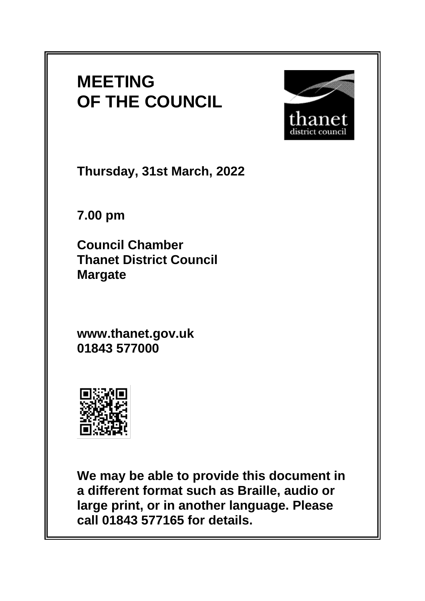# **MEETING OF THE COUNCIL**



**Thursday, 31st March, 2022**

**7.00 pm**

**Council Chamber Thanet District Council Margate**

**www.thanet.gov.uk 01843 577000**



**We may be able to provide this document in a different format such as Braille, audio or large print, or in another language. Please call 01843 577165 for details.**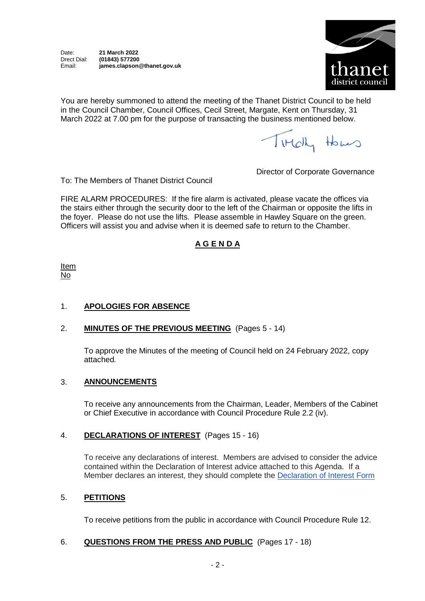Date: **21 March 2022** Drect Dial: **(01843) 577200** Email: **james.clapson@thanet.gov.uk**



You are hereby summoned to attend the meeting of the Thanet District Council to be held in the Council Chamber, Council Offices, Cecil Street, Margate, Kent on Thursday, 31 March 2022 at 7.00 pm for the purpose of transacting the business mentioned below.

Titch Homes

To: The Members of Thanet District Council

Director of Corporate Governance

FIRE ALARM PROCEDURES: If the fire alarm is activated, please vacate the offices via the stairs either through the security door to the left of the Chairman or opposite the lifts in the foyer. Please do not use the lifts. Please assemble in Hawley Square on the green. Officers will assist you and advise when it is deemed safe to return to the Chamber.

## **A G E N D A**

Item No

## 1. **APOLOGIES FOR ABSENCE**

## 2. **MINUTES OF THE PREVIOUS MEETING** (Pages 5 - 14)

To approve the Minutes of the meeting of Council held on 24 February 2022, copy attached*.*

## 3. **ANNOUNCEMENTS**

To receive any announcements from the Chairman, Leader, Members of the Cabinet or Chief Executive in accordance with Council Procedure Rule 2.2 (iv).

#### 4. **DECLARATIONS OF INTEREST** (Pages 15 - 16)

To receive any declarations of interest. Members are advised to consider the advice contained within the Declaration of Interest advice attached to this Agenda. If a Member declares an interest, they should complete the [Declaration of Interest Form](https://docs.google.com/forms/d/e/1FAIpQLSdYy7shF1kh6tvdSh3acxVRm70cKPLFkRBFNyVx2TgejRcm4w/viewform?usp=sf_link)

#### 5. **PETITIONS**

To receive petitions from the public in accordance with Council Procedure Rule 12.

## 6. **QUESTIONS FROM THE PRESS AND PUBLIC** (Pages 17 - 18)